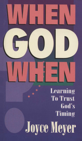# **Learning To Trust** God's **Timing Joyce Meyer**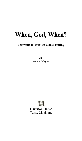# **When, God, When?**

#### **Learning To Trust In God's Timing**

*by Joyce Meyer*

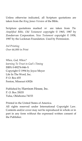Unless otherwise indicated, all Scripture quotations are taken from the *King James Version* of the Bible.

Scripture quotations marked AMP are taken from *The Amplified Bible, Old Testament* copyright © 1965, 1987 by Zondervan Corporation. *New Testament* copyright © 1958, 1987 by the Lockman Foundation. Used by Permission.

*3rd Printing Over 66,000 in Print*

*When, God, When? learning To Trust in God's Timing* ISBN 0-89274-846-X Copyright © 1994 by Joyce Meyer Life In The Word, Inc. P. O. Box 655 Fenton, Missouri 63026

Published by Harrison House, Inc. P. O. Box 35035 Tulsa, Oklahoma 74153

Printed in the United States of America.

All rights reserved under International Copyright Law. Contents and/or cover may not be reproduced in whole or in part in any form without the expressed written consent of the Publisher.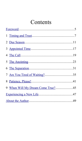# Contents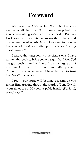### <span id="page-4-0"></span>**Foreword**

We serve the All-Knowing God who keeps an eye on us all the time. God is never surprised. He knows everything *before* it happens. Psalm 139 says He knows our thoughts before we think them, and our yet unuttered words. Most of us need to grow in the area of trust and attempt to silence the big question—WHEN?

Because that question is a persistent one, I have written this book to bring some insight that I feel God has graciously shared with me. I spent a large part of my life impatient, frustrated, and disappointed. Through many experiences, I have learned to trust the One Who knows all.

I pray your spirit will become peaceful as you rest in Him, trusting that, in the words of King David, "your times are in His very capable hands" (Ps. 31:15, paraphrased).

**CONTRACTOR**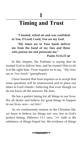**1**

# <span id="page-6-0"></span>**<sup>1</sup>Timing and Trust**

**"I trusted, relied on and was confident in You, O Lord; I said, You are my God.**

**"My times are in Your hand; deliver me from the hand of my foes and those who pursue me and persecute me."**

#### **Psalm 31:14,15** AMP

In this chapter, the Psalmist is saying that he trusted God to deliver him, and he trusted Him to do it at the right time. Trust requires us to say, *"My times* are in *Your hands"* (paraphrase).

I have learned that trust requires us to accept that some questions will be unanswered and to place our times in God's hands—believing that even though we do not know all the answers, He does.

He has a perfect timing for all things in our lives. We all desire and believe for good things to happen in our lives, now—*not later!*

As we continuously mature in the Christian life, we learn to believe for things not *now,* but in God's perfect timing. Hebrews 11:1 says, "NOW faith is the substance of things hoped for, the evidence of things

**COMMANDED**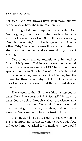not seen." We can always have faith now, but we cannot always have the manifestation *now.*

Trusting God often requires not knowing *how* God is going to accomplish what needs to be done and not knowing *when* He will do it. We always say, "God is never late," but He is generally not early either. Why? Because He uses those opportunities to stretch our faith in Him, and we grow during times of waiting.

One of our partners recently was in need of financial help from God in paying some unexpected taxes. The taxes were due April 15. The couple gave a special offering to "Life In The Word" believing God for the miracle they needed. On April 14 they had the money for their taxes. Why not April 1 or 5? Why does God sometimes wait until the very last day or minute?

The reason is that He is teaching us lessons in trust! *Trust is not inherited; it is learned!* We learn to trust God by going through various experiences that require trust. By seeing God's faithfulness over and over, we let go of trusting ourselves, and gradually we enter God's rest and place our trust in Him.

Looking at it like this, it is easy to see how timing plays an important part in learning to trust God. If He did everything we asked for immediately, we would

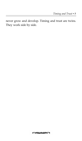never grow and develop. Timing and trust are twins. They work side by side.

**CONTRACTOR**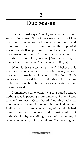### **2**

### <span id="page-10-0"></span>**<sup>2</sup>Due Season**

Leviticus 26:4 says, "I will give you rain in *due season."* Galatians 6:9 (AMP) says we must "... not lose heart and grow weary and faint in acting nobly and doing right, for in due time and at the appointed season we shall reap, if we do not loosen and relax our courage and faint." And in First Peter 5:6 we are exhorted to "humble" [ourselves] "under the mighty hand of God, that in *due time* He may exalt" [us].

When is *due season* or *due time?* I believe it is when God knows we are ready, when everyone else involved is ready and when it fits into God's corporate plan. God has an individual plan for our individual lives, but He also has a corporate plan for the entire world.

I remember a time when I was frustrated because nothing was happening in my ministry. I knew I was anointed to teach God's Word, but absolutely no doors opened for me. It seemed I had waited so long. I felt ready. I had been cooperating with God. He had done major work in me, and I just could not understand why something was not happening. I remember asking, "God, what are You waiting for

**CONTRACTOR**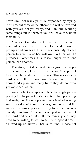now? Am I not ready yet?" He responded by saying, "You are, but some of the others who will be involved with you are not yet ready, and I am still working some things out in them, so you will have to wait on them now."

You see, God does not push, shove, demand, manipulate or force people. He leads, guides, prompts and suggests. It is the responsibility of each person to give his or her will over to Him for His purposes. Sometimes this takes longer with one person than another.

Therefore, if God is developing a group of people or a team of people who will work together, part of them may be ready before the rest. This is especially hard, since at the birthing stage, they generally do not know God's plan, and many times they do not even yet know each other.

An excellent example of this is the single person praying for the perfect mate. God is, in fact, preparing that mate, but the one praying gets tired of waiting since they do not know what is going on behind the scenes. The single person praying for a mate who is already a mature Christian, developed in the fruit of the Spirit and called into full-time ministry, etc., may need to be willing to wait to get their "special order" all fixed up on arrival. That takes time. It does not

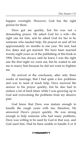happen overnight. However, God has the right person for them.

Dave got me quickly, but his was not a demanding prayer. He asked God for a wife—the right one for him, and he asked God for her to be someone who needed help. He prayed on and off for approximately six months to one year. We met, had five dates and got married. We have been married twenty-eight years as of the publishing of this book in 1994. Dave has always said he knew I was the right one the first night we went out, but he waited to ask me to marry him because he did not want to frighten me.

He arrived at the conclusion, after only three weeks of marriage, that I had quite a few problems and was in need of much help. Dave received the answer to his prayer quickly, but he also had to endure a lot of hard times while I was growing up in God and overcoming the problems from my abusive past.

God knew that Dave was mature enough to handle the rough years with me; therefore, He answered Dave's prayer quickly. He was strong enough to help someone who had many problems. Dave was willing to be used by God in that way, and God used him. Had he been unable to handle it or if

**COMMANDED**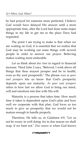he had prayed for someone more perfected, I believe God would have delayed His answer until a more appropriate time, after the Lord had done some major things in my life to get me to the place Dave had requested.

The point I am trying to make is that when we are waiting on God, it is essential that we realize that God may be working out some things with several people in order to answer our prayer. Believing makes waiting more endurable.

Let us think about *due time* in regard to financial increase. Third John 2 says, "Beloved, I wish above all things that thou mayest prosper and be in health, even as thy soul prospereth." The phrase *even as your soul prospers* lets us know that God's prosperity depends upon our maturity. *As your soul prospers* refers to how fast we allow God to bring our mind, will and emotions into line with His will.

Maturity is a process that takes time. How much time it takes is dependent upon God's plan and how well we cooperate with that plan. God loves us too much to give us prosperity that we would not be mature enough to handle properly.

Therefore, He tells us, in Galatians 6:9, "Let us not be weary in well doing: for in due season we shall reap, if we faint not." *Due season* is when God knows

**COMMANDED**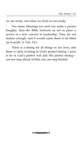we are ready, not when we *think* we are ready.

Too many blessings too soon can make a person haughty, thus the Bible instructs us not to place a novice or a new convert in leadership. They are not mature enough, and it would cause them to be lifted up in pride. (1 Tim. 3:6.)

There is a timing for all things in our lives, and there is *safety* in being in God's perfect timing. I pray to be in God's perfect will and His perfect timing not one step ahead of Him, nor one step behind.

*<b>GENTARY AREA*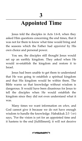# <span id="page-16-0"></span>**<sup>3</sup>Appointed Time**

Jesus told the disciples in Acts 1:6-8, when they asked Him questions concerning the end times, that it was not for them to know what time would bring and the seasons which the Father had *appointed* by His own choice and personal power.

You see, the disciples still thought Jesus would set up an earthly kingdom. They asked when He would re-establish the kingdom and restore it to Israel.

Jesus had been unable to get them to understand that He was going to establish a spiritual kingdom and that His kingdom would be within them. The Bible warns us that knowledge without wisdom is dangerous. It would have been disastrous for Jesus to tell the disciples when He would establish the kingdom since they did not even understand what it was.

Many times we want information on *when,* and God cannot give it because we do not have enough wisdom to handle the knowledge. Habakkuk 2:3 (AMP) says, "For the vision is yet for an appointed time and it hastens to the end [fulfillment]; it will not deceive

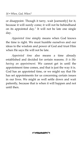or disappoint. Though it tarry, wait [earnestly] for it, because it will surely come; it will not be behindhand on its appointed day." It will not be late one single day.

*Appointed time* simply means when God knows the time is right. We must humble ourselves and our ideas to the wisdom and power of God and trust Him when He says He will not be late.

*Appointed time* also means a time already established and decided for certain reasons. *It is like having an appointment.* We cannot get in until the appointment time comes, and that is just the way it is. God has an appointed time, or we might say that He has set appointments for us concerning certain issues in our lives. We might as well settle down and wait patiently, because that is when it will happen and not until then.

**CONTRACTOR**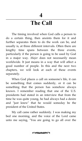### **4**

### <span id="page-18-0"></span>**<sup>4</sup>The Call**

The timing involved when God calls a person to do a certain thing, then anoints them for it and further separates them to do the work can be, and usually is, at three different intervals. Often there are lengthy time spans between the three events, particularly if the person is going to be used by God in a major way. *Major* does not necessarily mean worldwide. It just means in a way that will affect a good number of people. In this and the next two chapters, we will look at each of these events separately.

When God places a call on someone's life, it can be something that comes suddenly, or it can be something that the person has somehow always known. I remember reading that one of the U.S. presidents had stated in an interview that from the time he was quite young, he had always had a desire and "just knew" that he would someday be the president of the United States.

My call came rather suddenly. I was making my bed one morning, and the voice of the Lord came unto me saying, "You are going to go all over the

**CONTRACTOR**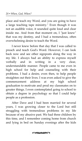place and teach my Word, and you are going to have a large teaching tape ministry." Even though it was not an audible voice, it sounded quite loud and clear inside me. And from that moment on, I "just knew" that was my destiny, and I had a tremendous, often overwhelming desire to teach the Word.

I never knew before that day that I was called to preach and teach God's Word. However, I can look back now and see other signposts along the way in my life. I always had an ability to express myself verbally and in writing in a very clear, understandable manner. People came to me even in high school for help and counseling with their problems. I had a desire, even then, to help people straighten out their lives. I was even asked to give the commencement address at my high school graduation to motivate and prod my classmates on to greater things. I even contemplated going to school to obtain a degree in psychology so that I could help people as a profession.

After Dave and I had been married for several years, I was growing closer to the Lord but still struggling with tremendous problems in my life because of my abusive past. We had three children by this time, and I remember coming home from church and lying in bed on Sunday evenings after the kids

**COMMANDED**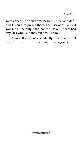were asleep. The house was peaceful, quiet and dark, and I would re-preach the pastor's sermons—only it was me at the pulpit and not the pastor. I never had any idea why I did that, but now I know.

Your call may come gradually or suddenly, but from the time you are called, *you are in preparation.*

**COMMANDED**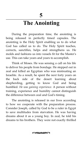# <span id="page-22-0"></span>**<sup>5</sup>The Anointing**

During the preparation time, the anointing is being released in perfectly timed capsules. The anointing is the Holy Spirit enabling us to do what God has called us to do. The Holy Spirit teaches, corrects, sanctifies, helps and strengthens us. He molds and fashions us into vessels fit for the Master's use. This can take years and years to accomplish.

Think of Moses. He was sensing a call on his life to deliver his people from bondage. He stepped out in zeal and killed an Egyptian who was mistreating an Israelite. As a result, he spent the next forty years on the back side of the desert learning about shepherding, getting to know God and being humbled. *He was gaining experience.* A person without training, experience and humility cannot distinguish the difference between zeal and God's timing.

The anointing is released in our lives according to how we cooperate with the preparation process. Consider Joseph, called by God to be a ruler in Egypt to save multitudes from starvation. He was having dreams about it as a young boy. In zeal, he told his dreams to his brothers. They were not exactly thrilled

**CONTRACTOR**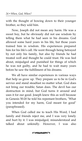with the thought of bowing down to their younger brother, so they sold him.

Now, Joseph did not mean any harm. He was a sweet boy, but he obviously did not use wisdom by telling them what he had seen in his dreams. God allowed some hard years in his life, but those years trained him in wisdom. His experiences prepared him for his life's call. He went through being betrayed by not only his family, but also by friends he had treated well and thought he could trust. He was lied about, misjudged and punished for things of which he was not guilty, and he had to wait many years before he saw the fulfillment of his dreams.

We all have similar experiences in various ways that help us grow up. They prepare us to be in God's service and stand steadfast no matter what. God does not bring our trouble; Satan does. The devil has our destruction in mind, but God turns it around and uses it for our good. Joseph knew this as well because in Genesis 50:20 he told his repentant brothers, "What you intended for my harm, God meant for good" (paraphrased).

When God called me to teach His Word, I had family and friends reject me, and I was very lonely and hurt by it. I was misjudged, misunderstood and talked about unkindly. However, I was also

**COMMANDED**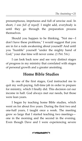presumptuous, impetuous and full of unwise zeal. In short, *I was full of myself.* I might add, everybody is until they go through the preparation process themselves.

Should you happen to be thinking, "Not me—I don't have these problems," I would suggest that you are in for a rude awakening about yourself! And until you "humble" yourself "under the mighty hand of God," your due time will never come. (1 Pet. 5:6.)

I can look back now and see very distinct stages of progress in my ministry that correlated with stages of personal growth and a greater anointing.

#### **Home Bible Studies**

In one of the first stages, God instructed me to quit my well-paying, full-time job in order to prepare for ministry, which I finally did. This decision cut our income in half. God always met our needs, but those were lean years.

I began by teaching home Bible studies, which went on for about five years. During the first two and one-half years, I taught once a week. The meeting grew so large that I started teaching two meetings one in the morning and the second in the evening. Even though Dave and I were experiencing severe

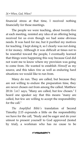financial stress at that time, I received nothing financially for those meetings.

The people we were teaching, about twenty-five at each meeting, resisted any idea of an offering being received for us even though we had some obvious needs. It was hard for me, but it purified my motives for teaching. I kept doing it, so I clearly was not doing it for money. Although it was difficult at times not to be resentful toward the people, I eventually learned that things were happening this way because God did not want me to know where my provision was going to come from. He wanted to establish *Himself* as my source, and this takes *time* as well as enduring hard situations we would like to run from.

Many do run. They are called, but because they are not willing to endure the preparation time, they are never chosen out from among the called. Matthew 20:16 (AMP) says, "Many are called, but few chosen." I heard one speaker say that this means "many are called, but few are willing to accept the responsibility for the call."

*The Amplified Bible's* translation of Second Timothy 2:15 expounds a little on the responsibility we have for the call, "Study and be eager and do your utmost to present yourself to God approved (tested by trial), a workman who has no cause to be

**COMMANDED**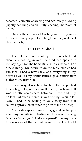ashamed, correctly analyzing and accurately dividing [rightly handling and skillfully teaching] the Word of Truth."

During those years of teaching in a living room to twenty-five people, God taught me a great deal about ministry.

#### **Put On a Shelf**

Then, I had one whole year in which I did absolutely nothing in ministry. God had spoken to me, saying, "Stop the home Bible studies; behold, I do a new thing." My desire to do the Bible studies had vanished! I had a new baby, and everything in my heart, as well as my circumstances, gave confirmation to that Word from God.

In one way, it was hard to obey. The people had finally begun to give us a small offering each week. It was usually somewhere between fifteen and fifty dollars. But over a month, it was helping us out a lot. Now, I had to be willing to walk away from that source of provision in order to go on to the next step.

My flesh expected something grand to happen after my sacrificial obedience; however, *nothing happened for one year!* No doors opened! In many ways this was one of the hardest years of my life. Had I

**COMMANDED**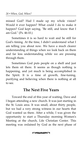missed God? Had I made up my whole vision? Would it ever happen? What could I do to make it happen? God kept saying, "Be still, and know that I am God." (Ps. 46:10.)

Sometimes it is so hard to wait and be still for God's timing. At the time, I didn't understand what I am telling you about now. We have a much clearer understanding of things when we look back on them and far less understanding while we are pressing through them.

Sometimes God puts people on a shelf and just lets them sit there. It seems as though nothing is happening, and yet much is being accomplished in the Spirit. It is a time of growth, fine-tuning, purifying and believing when there is nothing at all to see.

#### **The Next Five Years**

Toward the end of this year of waiting, Dave and I began attending a new church. It was just starting in the St. Louis area. It was small, about thirty people, but we had a very strong witness in our hearts that God wanted us there. After a while, I was given the opportunity to start a Thursday morning Women's Meeting at the church, Life Christian Center. This meeting was ordained by God as the next phase of

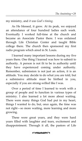my ministry, and *it was God's timing.*

As He blessed, it grew. At its peak, we enjoyed an attendance of four hundred ladies each week. Eventually I worked full-time at the church and became an Associate Pastor there. I was ordained through Life Christian Center and taught Bible college there. The church then sponsored my first radio program which aired in St. Louis.

I learned many important lessons during my five years there. One thing I learned was how to submit to authority. A person is not fit to be in authority until they have experienced coming under authority. Remember, submission is not just an action, it is an attitude. You may decide to do what you are told, but a submissive attitude must be birthed in you, especially if you are strong-willed like I was.

Over a period of time I learned to work with a group of people and to function in various types of ministry. I also learned a lot more about waiting. There were many things God had put in my heart, things I wanted to do, but, once again, the time was not right—so more waiting, more learning and more growing.

These were great years, and they were hard years filled with laughter and tears, excitement and disappointment. Through it all, the pastors of Life

**COMMUNITY**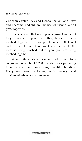Christian Center, Rick and Donna Shelton, and Dave and I became, and still are, the best of friends. We all grew together.

I have learned that when people grow together, if they do not give up on each other, they are usually meshed together in a deep relationship that will endure for all time. You might say that while the mess is being mashed out of you, you are being meshed together.

When Life Christian Center had grown to a congregation of about 1,200, the staff was preparing to move into their brand new, beautiful building. Everything was exploding with victory and excitement when God spoke again.

**CONTRACTOR**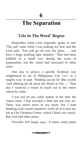# <span id="page-30-0"></span>**<sup>6</sup>The Separation**

#### **"Life In The Word" Begins**

Remember when God originally spoke to me? "The call" came while I was making my bed, and the Lord said, "You will go all over the place. . . and have a large teaching tape ministry." That had been fulfilled in a small way during the years of preparation, but the vision had increased in other areas.

One day in prayer, a specific Scripture was enlightened to me in Philippians  $2:16$  (AMP) in a mighty way. It said, "Holding out [to it]" (the world) "and offering [to all men] the Word of Life ...." That day I received a vision to reach out to the entire nation by radio.

I was not on any radio station at the time the vision came. I had traveled a little but not very far. There was much more in my heart, but I kept thinking God would somehow work all of it into my job at Life Christian Center, which I liked very much. But, God had other plans.

Proverbs 16:9 (amp) says, "A man's mind plans

**CONTRACTOR**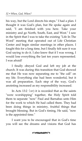his way, but the Lord directs his steps." I had a plan. I thought it was God's plan, but He spoke again and said, "I am finished with you here. Take your ministry and go North, South, East, and West." I saw in the Spirit that I was to take the existing "Life In The Word" meeting that operated out of Life Christian Center and begin similar meetings in other places. I fought this for a long time, but I finally felt sure it was God saying to do it. I also knew that if I was wrong, I would lose everything the last ten years represented. I was afraid!

I finally obeyed God and left my job at the church. It was during this transition that God showed me that He was now separating me to "the call" on my life. Everything else had been wonderful, but it was all preparation. Each step of the way, God's anointing increased as my responsibility increased.

In Acts 13:2 (AMP) it is recorded that as the saints "were worshipping" together, the Holy Spirit told them to separate "now" Paul and Barnabas unto Him for the work to which He had called them. They had been doing things in ministry, fruitful things that brought blessing. But in God's timing, He said, "now is the appointed time."

I want you to be encouraged that in God's time you will see the dreams and visions that God has

**COMMANDED**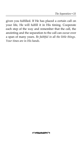given you fulfilled. If He has placed a certain call on your life, He will fulfill it in His timing. Cooperate each step of the way and remember that the call, the anointing and the separation to the call can occur over a span of many years. *Be faithful in all the little things. Your times are in His hands.*

**COMMANDED**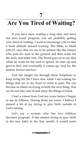**7**

# <span id="page-34-0"></span>**<sup>7</sup>Are You Tired of Waiting?**

If you have been waiting a long time and have not seen much progress, you are probably getting very tired of waiting. I want to encourage you to take a fresh attitude toward waiting. The Bible, in Mark 4:20-27, says that we are to be patient like the farmer who puts his seed in the ground and then waits for the early and latter rain. The Word goes on to say that while he waits for the seed to sprout, he rises up and goes to bed, and eventually it comes up. And he, the farmer, knows not how.

God has taught me through these Scriptures to keep living the life I have now while I am waiting for things that are in my heart to come to pass. We can become so intent on trying to birth the next thing, that we do not take care of and enjoy the things at hand.

I had a vision from God ten years before I began to see its fullness. During those ten years, I believe I missed a lot of joy trying to give birth outside of God's timing.

Let's say a woman who has five children becomes pregnant. If she started trying to give birth to the new baby in the first month, it would seem

**CONTRACTOR**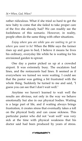rather ridiculous. What if she tried so hard to get the new baby to come that she failed to take proper care of the five she already had? We can readily see the foolishness of this scenario. However, in reality, people often do the same thing with other situations.

*Enjoy where you are while you are waiting to get to where you want to be!* When the Bible says the farmer rises up and goes to bed, I believe it means he lives his ordinary, everyday life while he is waiting for his envisioned garden to sprout.

One day a pastor picked us up at a crowded airport. It was extremely busy. The escalators had lines, and the restaurants had lines. It seemed as if everywhere we turned we were waiting. I could see that the pastor was getting a bit frustrated with the whole thing. Suddenly he turned to me and said, "I guess you can see that I don't wait well."

Anytime we haven't learned to wait well the results are obvious, not only in the way we behave emotionally but also in our physical bodies. Waiting is a large part of life, and if waiting always brings frustration, it creates stress that eventually takes a toll on the physical body and can cause sickness. This particular pastor who did not "wait well" was very sick at the time with physical weakness that his doctor said had been produced by years of stress.

**COMMANDED**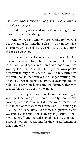*Take a new attitude toward waiting, and it will not have to be so difficult for you.*

In all truth, we spend more time waiting in our lives than we do receiving.

After we receive what we are waiting for, we will begin waiting for something else. If you can see what I mean, you will be able to quickly realize that *waiting is a major part of life.*

Let's say you get a raise and then wait for the next one. You wait for a child, then you wait for them to get out of diapers into pants and soon you are waiting for them to be able to buy their own pants! You wait to buy a house, then wait to buy furniture for your house that you are no longer waiting for. Then you wait to be able to afford a cleaning lady to help you clean your house and the furniture that you waited for. Do you get my meaning?

Learn to enjoy waiting, realizing that waiting is what will deliver your dream. I really should say "waiting well" is what will deliver your dream. The fulfillment, of course, comes from God, but waiting is like the delivery boy. Sometimes a person starts waiting. By the time the delivery boy arrives, they have gone off and started something else, and they probably will not be around for the end fulfillment of that thing either.

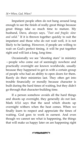Impatient people often do not hang around long enough to see the finish of really great things because great things take so much time to mature. My husband, Dave, always says, *"Fast and fragile; slow and solid."* If it is thrown together quickly to suit the impatient and those who do not wait well, it is not likely to be lasting. However, if people are willing to wait on God's perfect timing, it will be put together right and will last a long, long time.

Occasionally we see "shooting stars" in ministry —people who come out of seemingly nowhere and practically overnight are known worldwide, usually because they happened to get in with a certain group of people who had an ability to open doors for them. Rarely do their ministries last. They often get into trouble financially or morally because character is built during the hard times of waiting, but they didn't go through that character-building time.

If a person somehow avoids all the hard things and shoots up overnight, they generally do not last. Mark 4:5,6 says that the seed which shoots up overnight withers when the heat comes. When we finally learn to respect and appreciate the times of waiting, God goes to work in earnest. And even though we cannot see what is happening, the things that will make us happy later on are happening right

**COMMANDED**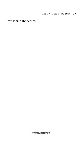now behind the scenes.

**CONTRACTOR**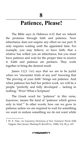### <span id="page-40-0"></span>**<sup>8</sup>Patience, Please!**

The Bible says in Hebrews 6:12 that we inherit the promises through faith and patience. Now inheritance does not require any effort on our part. It only requires waiting until the appointed time. For example, you may believe, or have faith, that a relative has willed you an inheritance, but you must have patience and wait for the proper time to receive it. Faith and patience are partners. They work together to bring the desired result.

James 1:2,3 ( $\text{AMP}$ ) says that we are to be joyful when we "encounter trials of any sort" knowing that "the proving of your faith" brings out patience. And when patience has had her perfect work, we will be a people "perfectly and fully developed ... lacking in nothing." Wow! What a Scripture!

The Greek word for "patience" in this verse, *hupomone,* means the kind of "patience which grows only in trial."[1](#page-40-1) In other words, how can we grow in patience unless we are required to wait for something we want or endure something we do not want while

**COMMANDED** 

<span id="page-40-1"></span><sup>1</sup> W. E. Vine, *An Expository Dictionary of New Testament Words* (Old Tappan, New Jersey: Fleming H. Revell Co., 1940), Vol. Ill, p. 167.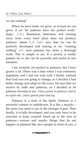we are waiting?

When we have trials, we grow, or at least we can grow, if we "let patience have her perfect work." (James 1:4.) Resistance, bitterness, and running away from every hard place does not produce patience. James  $1:4$  (AMP) says that we can be perfectly developed and lacking in (or "wanting nothing" KJV) once patience has done a thorough work. This is simple to see. If a person is totally patient, he or she can be peaceful and joyful in any situation.

I am certainly not perfect in patience, but I have grown a lot. There was a time when I was extremely impatient, and I did not wait well. I finally realized that God was not going to change, so I decided I had better change and adapt to His ways. He says that we receive by faith and patience, so I decided to let patience develop in me. *I have grown in patience, and at an equal rate, I have gained peace and joy.*

Patience is a fruit of the Spirit. Patience is a powerful witness to unbelievers. It is like a muscle the more you need to use it, the stronger it gets. Then finally, it is fully developed, and you only have to do exercises to keep yourself toned up in the area of patience—various and sundry things that do not happen as planned like slow people in front of you, a

**COMMANDED**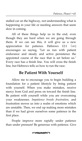stalled car on the highway, not understanding what is happening in your life or needing answers that seem slow in coming.

All of these things help us in the end, even though they are hard when we are going through them. If we can see this, it will give us a new appreciation for patience. Hebrews 12:1 (AMP) encourages us saying, "Let us run with patient endurance and steady and active persistence the appointed course of the race that is set before us." Every race has a finish line. You will cross the finish line, but Hebrews tells us how to run the race.

#### **Be Patient With Yourself**

Allow me to encourage you to begin building a foundation for a patient lifestyle by being patient with yourself. When you make mistakes, receive mercy from God and press on toward the finish line. Be patient with yourself while you are overcoming your weaknesses. *Impatience breeds frustration,* and frustration moves us into a realm of emotions which are unstable. Then, we end up making more mistakes than if we had given ourselves some patience in the first place.

People improve more rapidly under patience than under pressure! Be generous with patience. Give

**COMMUNITY**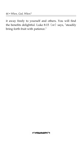it away freely to yourself and others. You will find the benefits delightful. Luke 8:15 (AMP) says, "steadily bring forth fruit with patience."

**COMMUNITY**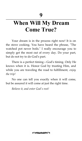**9**

## <span id="page-44-0"></span>**<sup>9</sup>When Will My Dream Come True?**

Your dream is in the process right now! It is on the stove cooking. You have heard the phrase, "The watched pot never boils." I really encourage you to simply get the most out of every day. Do your part, but do not try to do God's part.

There is a perfect timing—God's timing. Only He knows when it is. Honor God by trusting Him, and while you are traveling the road to fulfillment, *enjoy the trip!*

No one can tell you exactly when it will come, but be assured it will come at just the right time.

*Believe it, and enter God's rest!*

**COMMANDER**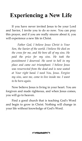# <span id="page-46-0"></span>**Experiencing a New Life**

If you have never invited Jesus to be your Lord and Savior, I invite you to do so now. You can pray this prayer, and if you are really sincere about it, you will experience a new life in Christ.

*Father God, I believe Jesus Christ is Your Son, the Savior of the world. I believe He died on the cross for me, and He bore all of my sins. He paid the price for my sins. He took the punishment I deserved. He went to hell in my place and came out triumphant. I believe Jesus was resurrected from the dead and is now seated at Your right hand. I need You, Jesus. Forgive my sins, save me, come to live inside me. I want to be born again.*

Now believe Jesus is living in your heart. You are forgiven and made righteous, and when Jesus comes, you will go to heaven.

Find a good church that is teaching God's Word and begin to grow in Christ. Nothing will change in your life without knowledge of God's Word.

**CONTRACTOR**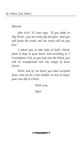*Beloved,*

*John 8:31, 32 (AMP) says, "If you abide in My Word... you are truly My disciples. And you will know the truth, and the truth will set you free."*

*I exhort you to take hold of God's Word, plant it deep in your heart, and according to 2 Corinthians 3:18, as you look into the Word, you will be transformed into the image of Jesus Christ.*

*Write and let me know you have accepted Jesus, and ask for a free booklet on how to begin your new life in Christ.*

*With Love,*

*Joyce*

**CONTRACTOR**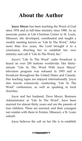## <span id="page-48-0"></span>**About the Author**

**Joyce Meyer** has been teaching the Word of God since 1976 and in full-time ministry since 1980. As an associate pastor at Life Christian Center in St. Louis, Missouri, she developed, coordinated and taught a weekly meeting known as "Life In The Word." After more than five years, the Lord brought it to a conclusion, directing her to establish her own ministry and call it "Life In The Word, Inc."

Joyce's "Life In The Word" radio broadcast is heard on over 250 stations worldwide. Her thirtyminute "Life In The Word With Joyce Meyer" television program was released in 1993 and is broadcast throughout the United States and Canada. Her teaching tapes are enjoyed internationally. Joyce also travels extensively conducting "Life In The Word" conferences, as well as speaking in local churches.

Joyce and her husband, Dave Meyer, Business Administrator at "Life In The Word", have been married for almost thirty years and are the parents of four children. Three are married, and their youngest son resides with them in Fenton, Missouri, a St. Louis suburb.

Joyce believes the call on her life is to establish

**COMMUNITY**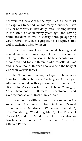believers in God's Word. She says, "Jesus died to set the captives free, and far too many Christians have little or no victory in their daily lives." Finding herself in the same situation many years ago, and having found freedom to live in victory through applying God's Word, Joyce goes equipped to set captives free and to exchange *ashes for beauty.*

Joyce has taught on emotional healing and related subjects in meetings all over the country, helping multiplied thousands. She has recorded over a hundred and forty different audio cassette albums and is the author of thirteen books to help the Body of Christ on various topics.

Her "Emotional Healing Package" contains more than twenty-three hours of teaching on the subject. Albums included in this package are: "Confidence"; "Beauty for Ashes" (includes a syllabus); "Managing Your Emotions"; "Bitterness, Resentment, and Unforgiveness"; and "Root of Rejection."

Joyce has five different audio tape series on the subject of the mind. They include: "Mental Strongholds & Mindsets"; "Wilderness Mentality"; "The Wandering, Wondering Mind"; "The Power of Thoughts"; and "The Mind of the Flesh." She also has two tape series entitled: "Love Is..." and "Love: The Ultimate Power."

**COMMANDED**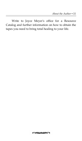Write to Joyce Meyer's office for a Resource Catalog and further information on how to obtain the tapes you need to bring total healing to your life.

**COMMUNITY**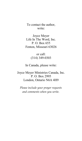To contact the author, write:

Joyce Meyer Life In The Word, Inc. P. O. Box 655 Fenton, Missouri 63026

> or call: (314) 349-0303

In Canada, please write:

Joyce Meyer Ministries Canada, Inc. P. O. Box 2995 London, Ontario N6A 4H9

*Please include your prayer requests and comments when you write.*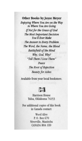#### **Other Books by Joyce Meyer**

Enjoying Where You Are on the Way to Where You Are Going If Not for the Grace of God **The Most Important Decision** You'll Ever Make The Answer to Every Problem The Word, the Name, the Blood **Battlefield of the Mind** Why, God, Why? "Tell Them I Love Them" Peace The Root of Rejection **Beauty** for Ashes

Available from your local bookstore.

### **ILLI**

**Harrison House** Tulsa, Oklahoma 74153

For additional copies of this book in Canada contact:

> Word Alive P.O. Box 670 Niverville, Manitoba **CANADA ROA 1EO**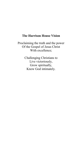#### **The Harrison House Vision**

Proclaiming the truth and the power Of the Gospel of Jesus Christ With excellence;

> Challenging Christians to Live victoriously, Grow spiritually, Know God intimately.